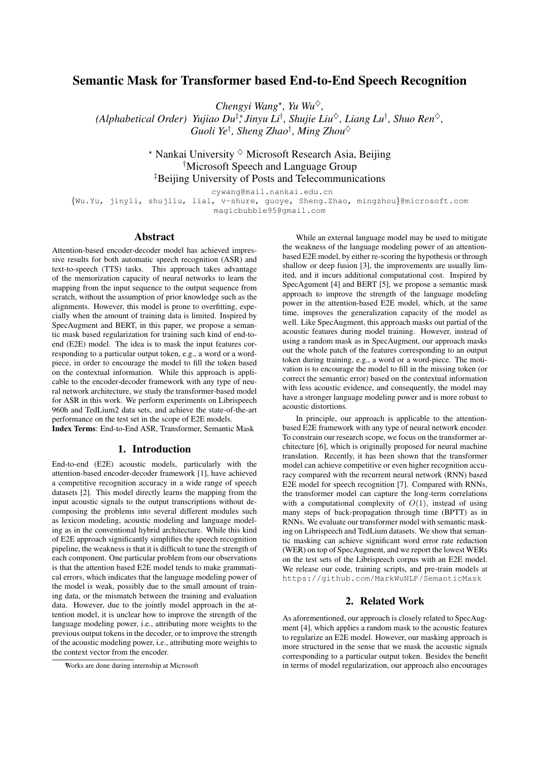# Semantic Mask for Transformer based End-to-End Speech Recognition

*Chengyi Wang*<sup>\*</sup>, *Yu Wu*<sup> $\diamond$ </sup>,

*(Alphabetical Order) Yujiao Du*‡∗*, Jinyu Li*† *, Shujie Liu*♦*, Liang Lu*† *, Shuo Ren*♦*, Guoli Ye*† *, Sheng Zhao*† *, Ming Zhou*♦

> $*$  Nankai University  $\diamond$  Microsoft Research Asia, Beijing †Microsoft Speech and Language Group ‡Beijing University of Posts and Telecommunications

> > cywang@mail.nankai.edu.cn

{Wu.Yu, jinyli, shujliu, lial, v-shure, guoye, Sheng.Zhao, mingzhou}@microsoft.com magicbubble95@gmail.com

# Abstract

Attention-based encoder-decoder model has achieved impressive results for both automatic speech recognition (ASR) and text-to-speech (TTS) tasks. This approach takes advantage of the memorization capacity of neural networks to learn the mapping from the input sequence to the output sequence from scratch, without the assumption of prior knowledge such as the alignments. However, this model is prone to overfitting, especially when the amount of training data is limited. Inspired by SpecAugment and BERT, in this paper, we propose a semantic mask based regularization for training such kind of end-toend (E2E) model. The idea is to mask the input features corresponding to a particular output token, e.g., a word or a wordpiece, in order to encourage the model to fill the token based on the contextual information. While this approach is applicable to the encoder-decoder framework with any type of neural network architecture, we study the transformer-based model for ASR in this work. We perform experiments on Librispeech 960h and TedLium2 data sets, and achieve the state-of-the-art performance on the test set in the scope of E2E models.

Index Terms: End-to-End ASR, Transformer, Semantic Mask

### 1. Introduction

End-to-end (E2E) acoustic models, particularly with the attention-based encoder-decoder framework [1], have achieved a competitive recognition accuracy in a wide range of speech datasets [2]. This model directly learns the mapping from the input acoustic signals to the output transcriptions without decomposing the problems into several different modules such as lexicon modeling, acoustic modeling and language modeling as in the conventional hybrid architecture. While this kind of E2E approach significantly simplifies the speech recognition pipeline, the weakness is that it is difficult to tune the strength of each component. One particular problem from our observations is that the attention based E2E model tends to make grammatical errors, which indicates that the language modeling power of the model is weak, possibly due to the small amount of training data, or the mismatch between the training and evaluation data. However, due to the jointly model approach in the attention model, it is unclear how to improve the strength of the language modeling power, i.e., attributing more weights to the previous output tokens in the decoder, or to improve the strength of the acoustic modeling power, i.e., attributing more weights to the context vector from the encoder.

While an external language model may be used to mitigate the weakness of the language modeling power of an attentionbased E2E model, by either re-scoring the hypothesis or through shallow or deep fusion [3], the improvements are usually limited, and it incurs additional computational cost. Inspired by SpecAgument [4] and BERT [5], we propose a semantic mask approach to improve the strength of the language modeling power in the attention-based E2E model, which, at the same time, improves the generalization capacity of the model as well. Like SpecAugment, this approach masks out partial of the acoustic features during model training. However, instead of using a random mask as in SpecAugment, our approach masks out the whole patch of the features corresponding to an output token during training, e.g., a word or a word-piece. The motivation is to encourage the model to fill in the missing token (or correct the semantic error) based on the contextual information with less acoustic evidence, and consequently, the model may have a stronger language modeling power and is more robust to acoustic distortions.

In principle, our approach is applicable to the attentionbased E2E framework with any type of neural network encoder. To constrain our research scope, we focus on the transformer architecture [6], which is originally proposed for neural machine translation. Recently, it has been shown that the transformer model can achieve competitive or even higher recognition accuracy compared with the recurrent neural network (RNN) based E2E model for speech recognition [7]. Compared with RNNs, the transformer model can capture the long-term correlations with a computational complexity of  $O(1)$ , instead of using many steps of back-propagation through time (BPTT) as in RNNs. We evaluate our transformer model with semantic masking on Librispeech and TedLium datasets. We show that semantic masking can achieve significant word error rate reduction (WER) on top of SpecAugment, and we report the lowest WERs on the test sets of the Librispeech corpus with an E2E model. We release our code, training scripts, and pre-train models at https://github.com/MarkWuNLP/SemanticMask

# 2. Related Work

As aforementioned, our approach is closely related to SpecAugment [4], which applies a random mask to the acoustic features to regularize an E2E model. However, our masking approach is more structured in the sense that we mask the acoustic signals corresponding to a particular output token. Besides the benefit in terms of model regularization, our approach also encourages

<sup>∗</sup>Works are done during internship at Microsoft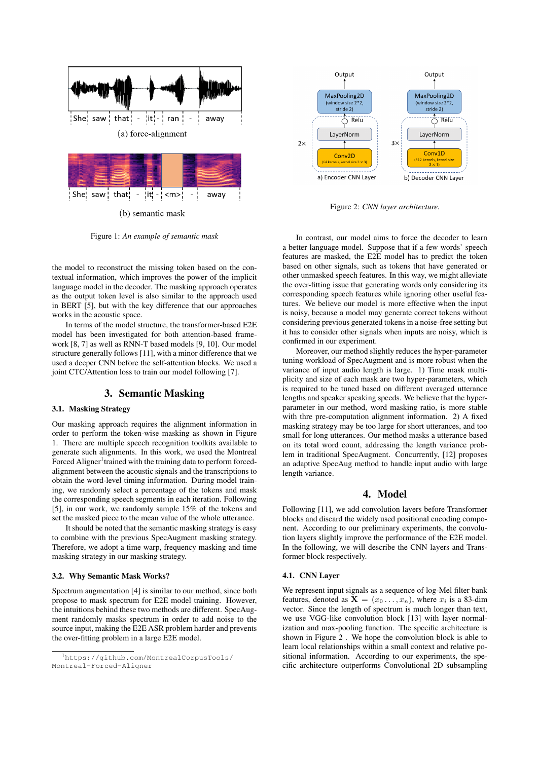

Output Output MaxPooling2D MaxPooling2D (window size  $2*2$ (window size  $2*2$  $stricted 2)$ stride 2)  $\overline{O}$  Relu  $\overline{C}$  Relu LayerNorm LayerNorm  $\overline{3}x$  $2x$  $Conv1D$  $Conv2D$ (512 kerr a) Encoder CNN Layer b) Decoder CNN Layer

Figure 2: *CNN layer architecture.*

Figure 1: *An example of semantic mask*

the model to reconstruct the missing token based on the contextual information, which improves the power of the implicit language model in the decoder. The masking approach operates as the output token level is also similar to the approach used in BERT [5], but with the key difference that our approaches works in the acoustic space.

In terms of the model structure, the transformer-based E2E model has been investigated for both attention-based framework [8, 7] as well as RNN-T based models [9, 10]. Our model structure generally follows [11], with a minor difference that we used a deeper CNN before the self-attention blocks. We used a joint CTC/Attention loss to train our model following [7].

## 3. Semantic Masking

### 3.1. Masking Strategy

Our masking approach requires the alignment information in order to perform the token-wise masking as shown in Figure 1. There are multiple speech recognition toolkits available to generate such alignments. In this work, we used the Montreal Forced Aligner<sup>1</sup> trained with the training data to perform forcedalignment between the acoustic signals and the transcriptions to obtain the word-level timing information. During model training, we randomly select a percentage of the tokens and mask the corresponding speech segments in each iteration. Following [5], in our work, we randomly sample 15% of the tokens and set the masked piece to the mean value of the whole utterance.

It should be noted that the semantic masking strategy is easy to combine with the previous SpecAugment masking strategy. Therefore, we adopt a time warp, frequency masking and time masking strategy in our masking strategy.

#### 3.2. Why Semantic Mask Works?

Spectrum augmentation [4] is similar to our method, since both propose to mask spectrum for E2E model training. However, the intuitions behind these two methods are different. SpecAugment randomly masks spectrum in order to add noise to the source input, making the E2E ASR problem harder and prevents the over-fitting problem in a large E2E model.

In contrast, our model aims to force the decoder to learn a better language model. Suppose that if a few words' speech features are masked, the E2E model has to predict the token based on other signals, such as tokens that have generated or other unmasked speech features. In this way, we might alleviate the over-fitting issue that generating words only considering its corresponding speech features while ignoring other useful features. We believe our model is more effective when the input is noisy, because a model may generate correct tokens without considering previous generated tokens in a noise-free setting but it has to consider other signals when inputs are noisy, which is confirmed in our experiment.

Moreover, our method slightly reduces the hyper-parameter tuning workload of SpecAugment and is more robust when the variance of input audio length is large. 1) Time mask multiplicity and size of each mask are two hyper-parameters, which is required to be tuned based on different averaged utterance lengths and speaker speaking speeds. We believe that the hyperparameter in our method, word masking ratio, is more stable with thre pre-computation alignment information. 2) A fixed masking strategy may be too large for short utterances, and too small for long utterances. Our method masks a utterance based on its total word count, addressing the length variance problem in traditional SpecAugment. Concurrently, [12] proposes an adaptive SpecAug method to handle input audio with large length variance.

## 4. Model

Following [11], we add convolution layers before Transformer blocks and discard the widely used positional encoding component. According to our preliminary experiments, the convolution layers slightly improve the performance of the E2E model. In the following, we will describe the CNN layers and Transformer block respectively.

#### 4.1. CNN Layer

We represent input signals as a sequence of log-Mel filter bank features, denoted as  $X = (x_0 \dots, x_n)$ , where  $x_i$  is a 83-dim vector. Since the length of spectrum is much longer than text, we use VGG-like convolution block [13] with layer normalization and max-pooling function. The specific architecture is shown in Figure 2 . We hope the convolution block is able to learn local relationships within a small context and relative positional information. According to our experiments, the specific architecture outperforms Convolutional 2D subsampling

<sup>1</sup>https://github.com/MontrealCorpusTools/ Montreal-Forced-Aligner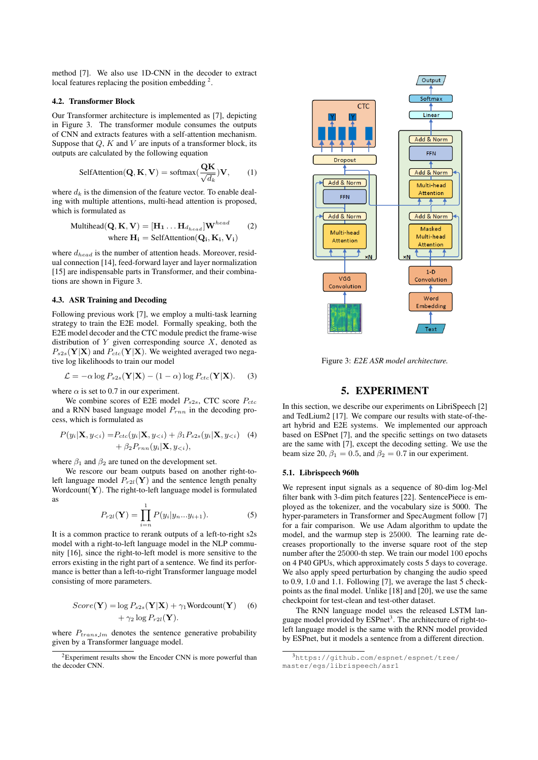method [7]. We also use 1D-CNN in the decoder to extract local features replacing the position embedding  $2$ .

#### 4.2. Transformer Block

Our Transformer architecture is implemented as [7], depicting in Figure 3. The transformer module consumes the outputs of CNN and extracts features with a self-attention mechanism. Suppose that  $Q$ ,  $K$  and  $V$  are inputs of a transformer block, its outputs are calculated by the following equation

SelfAttention(
$$
\mathbf{Q}, \mathbf{K}, \mathbf{V}
$$
) = softmax( $\frac{\mathbf{Q}\mathbf{K}}{\sqrt{d_k}}$ ) $\mathbf{V}$ , (1)

where  $d_k$  is the dimension of the feature vector. To enable dealing with multiple attentions, multi-head attention is proposed, which is formulated as

$$
\text{Multihead}(\mathbf{Q}, \mathbf{K}, \mathbf{V}) = [\mathbf{H}_1 \dots \mathbf{H}_{d_{head}}] \mathbf{W}^{head} \tag{2}
$$
\n
$$
\text{where } \mathbf{H}_i = \text{SelfAttention}(\mathbf{Q}_i, \mathbf{K}_i, \mathbf{V}_i)
$$

where  $d_{head}$  is the number of attention heads. Moreover, residual connection [14], feed-forward layer and layer normalization [15] are indispensable parts in Transformer, and their combinations are shown in Figure 3.

### 4.3. ASR Training and Decoding

Following previous work [7], we employ a multi-task learning strategy to train the E2E model. Formally speaking, both the E2E model decoder and the CTC module predict the frame-wise distribution of  $Y$  given corresponding source  $X$ , denoted as  $P_{s2s}(\mathbf{Y}|\mathbf{X})$  and  $P_{ctc}(\mathbf{Y}|\mathbf{X})$ . We weighted averaged two negative log likelihoods to train our model

$$
\mathcal{L} = -\alpha \log P_{s2s}(\mathbf{Y}|\mathbf{X}) - (1 - \alpha) \log P_{ctc}(\mathbf{Y}|\mathbf{X}).
$$
 (3)

where  $\alpha$  is set to 0.7 in our experiment.

We combine scores of E2E model  $P_{s2s}$ , CTC score  $P_{ctc}$ and a RNN based language model  $P_{rnn}$  in the decoding process, which is formulated as

$$
P(y_i|\mathbf{X}, y_{< i}) = P_{ctc}(y_i|\mathbf{X}, y_{< i}) + \beta_1 P_{s2s}(y_i|\mathbf{X}, y_{< i}) \quad (4) + \beta_2 P_{rnn}(y_i|\mathbf{X}, y_{< i}),
$$

where  $\beta_1$  and  $\beta_2$  are tuned on the development set.

We rescore our beam outputs based on another right-toleft language model  $P_{r2l}(\mathbf{Y})$  and the sentence length penalty Wordcount $(Y)$ . The right-to-left language model is formulated as

$$
P_{r2l}(\mathbf{Y}) = \prod_{i=n}^{1} P(y_i | y_n ... y_{i+1}).
$$
 (5)

It is a common practice to rerank outputs of a left-to-right s2s model with a right-to-left language model in the NLP community [16], since the right-to-left model is more sensitive to the errors existing in the right part of a sentence. We find its performance is better than a left-to-right Transformer language model consisting of more parameters.

$$
Score(\mathbf{Y}) = \log P_{s2s}(\mathbf{Y}|\mathbf{X}) + \gamma_1 \text{Wordcount}(\mathbf{Y}) \quad (6)
$$

$$
+ \gamma_2 \log P_{r2l}(\mathbf{Y}).
$$

where  $P_{trans\_lm}$  denotes the sentence generative probability given by a Transformer language model.



Figure 3: *E2E ASR model architecture.*

# 5. EXPERIMENT

In this section, we describe our experiments on LibriSpeech [2] and TedLium2 [17]. We compare our results with state-of-theart hybrid and E2E systems. We implemented our approach based on ESPnet [7], and the specific settings on two datasets are the same with [7], except the decoding setting. We use the beam size 20,  $\beta_1 = 0.5$ , and  $\beta_2 = 0.7$  in our experiment.

#### 5.1. Librispeech 960h

We represent input signals as a sequence of 80-dim log-Mel filter bank with 3-dim pitch features [22]. SentencePiece is employed as the tokenizer, and the vocabulary size is 5000. The hyper-parameters in Transformer and SpecAugment follow [7] for a fair comparison. We use Adam algorithm to update the model, and the warmup step is 25000. The learning rate decreases proportionally to the inverse square root of the step number after the 25000-th step. We train our model 100 epochs on 4 P40 GPUs, which approximately costs 5 days to coverage. We also apply speed perturbation by changing the audio speed to 0.9, 1.0 and 1.1. Following [7], we average the last 5 checkpoints as the final model. Unlike [18] and [20], we use the same checkpoint for test-clean and test-other dataset.

The RNN language model uses the released LSTM language model provided by ESPnet<sup>3</sup>. The architecture of right-toleft language model is the same with the RNN model provided by ESPnet, but it models a sentence from a different direction.

 $2$ Experiment results show the Encoder CNN is more powerful than the decoder CNN.

<sup>3</sup>https://github.com/espnet/espnet/tree/ master/egs/librispeech/asr1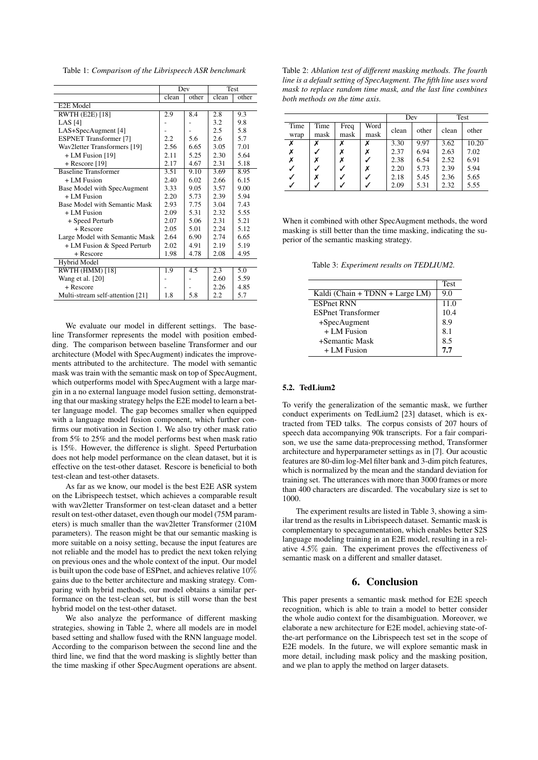Table 1: *Comparison of the Librispeech ASR benchmark*

|                                  | Dev   |       | Test  |       |
|----------------------------------|-------|-------|-------|-------|
|                                  | clean | other | clean | other |
| E2E Model                        |       |       |       |       |
| <b>RWTH (E2E) [18]</b>           | 2.9   | 8.4   | 2.8   | 9.3   |
| LAS $[4]$                        |       |       | 3.2   | 9.8   |
| LAS+SpecAugment [4]              |       |       | 2.5   | 5.8   |
| <b>ESPNET</b> Transformer [7]    | 2.2   | 5.6   | 2.6   | 5.7   |
| Wav2letter Transformers [19]     | 2.56  | 6.65  | 3.05  | 7.01  |
| $+ LM$ Fusion [19]               | 2.11  | 5.25  | 2.30  | 5.64  |
| $+$ Rescore [19]                 | 2.17  | 4.67  | 2.31  | 5.18  |
| <b>Baseline Transformer</b>      | 3.51  | 9.10  | 3.69  | 8.95  |
| $+LM$ Fusion                     | 2.40  | 6.02  | 2.66  | 6.15  |
| Base Model with SpecAugment      | 3.33  | 9.05  | 3.57  | 9.00  |
| $+$ LM Fusion                    | 2.20  | 5.73  | 2.39  | 5.94  |
| Base Model with Semantic Mask    | 2.93  | 7.75  | 3.04  | 7.43  |
| $+$ LM Fusion                    | 2.09  | 5.31  | 2.32  | 5.55  |
| + Speed Perturb                  | 2.07  | 5.06  | 2.31  | 5.21  |
| + Rescore                        | 2.05  | 5.01  | 2.24  | 5.12  |
| Large Model with Semantic Mask   | 2.64  | 6.90  | 2.74  | 6.65  |
| + LM Fusion & Speed Perturb      | 2.02  | 4.91  | 2.19  | 5.19  |
| + Rescore                        | 1.98  | 4.78  | 2.08  | 4.95  |
| Hybrid Model                     |       |       |       |       |
| <b>RWTH (HMM) [18]</b>           | 1.9   | 4.5   | 2.3   | 5.0   |
| Wang et al. [20]                 |       |       | 2.60  | 5.59  |
| + Rescore                        |       |       | 2.26  | 4.85  |
| Multi-stream self-attention [21] | 1.8   | 5.8   | 2.2   | 5.7   |

We evaluate our model in different settings. The baseline Transformer represents the model with position embedding. The comparison between baseline Transformer and our architecture (Model with SpecAugment) indicates the improvements attributed to the architecture. The model with semantic mask was train with the semantic mask on top of SpecAugment, which outperforms model with SpecAugment with a large margin in a no external language model fusion setting, demonstrating that our masking strategy helps the E2E model to learn a better language model. The gap becomes smaller when equipped with a language model fusion component, which further confirms our motivation in Section 1. We also try other mask ratio from 5% to 25% and the model performs best when mask ratio is 15%. However, the difference is slight. Speed Perturbation does not help model performance on the clean dataset, but it is effective on the test-other dataset. Rescore is beneficial to both test-clean and test-other datasets.

As far as we know, our model is the best E2E ASR system on the Librispeech testset, which achieves a comparable result with wav2letter Transformer on test-clean dataset and a better result on test-other dataset, even though our model (75M parameters) is much smaller than the wav2letter Transformer (210M parameters). The reason might be that our semantic masking is more suitable on a noisy setting, because the input features are not reliable and the model has to predict the next token relying on previous ones and the whole context of the input. Our model is built upon the code base of ESPnet, and achieves relative 10% gains due to the better architecture and masking strategy. Comparing with hybrid methods, our model obtains a similar performance on the test-clean set, but is still worse than the best hybrid model on the test-other dataset.

We also analyze the performance of different masking strategies, showing in Table 2, where all models are in model based setting and shallow fused with the RNN language model. According to the comparison between the second line and the third line, we find that the word masking is slightly better than the time masking if other SpecAugment operations are absent.

Table 2: *Ablation test of different masking methods. The fourth line is a default setting of SpecAugment. The fifth line uses word mask to replace random time mask, and the last line combines both methods on the time axis.*

|      |      |      |      | Dev   |       | Test  |       |
|------|------|------|------|-------|-------|-------|-------|
| Time | Time | Freq | Word | clean | other | clean | other |
| wrap | mask | mask | mask |       |       |       |       |
| Х    | Х    | x    | х    | 3.30  | 9.97  | 3.62  | 10.20 |
|      |      |      | х    | 2.37  | 6.94  | 2.63  | 7.02  |
| Х    | Х    |      |      | 2.38  | 6.54  | 2.52  | 6.91  |
|      |      |      | х    | 2.20  | 5.73  | 2.39  | 5.94  |
|      | х    |      |      | 2.18  | 5.45  | 2.36  | 5.65  |
|      |      |      |      | 2.09  | 5.31  | 2.32  | 5.55  |

When it combined with other SpecAugment methods, the word masking is still better than the time masking, indicating the superior of the semantic masking strategy.

Table 3: *Experiment results on TEDLIUM2.*

|                                 | <b>Test</b> |
|---------------------------------|-------------|
| Kaldi (Chain + TDNN + Large LM) | 9.0         |
| <b>ESPnet RNN</b>               | 11.0        |
| <b>ESPnet Transformer</b>       | 10.4        |
| $+SpecAugment$                  | 8.9         |
| $+$ LM Fusion                   | 8.1         |
| +Semantic Mask                  | 8.5         |
| $+LM$ Fusion                    | 7.7         |

#### 5.2. TedLium2

To verify the generalization of the semantic mask, we further conduct experiments on TedLium2 [23] dataset, which is extracted from TED talks. The corpus consists of 207 hours of speech data accompanying 90k transcripts. For a fair comparison, we use the same data-preprocessing method, Transformer architecture and hyperparameter settings as in [7]. Our acoustic features are 80-dim log-Mel filter bank and 3-dim pitch features, which is normalized by the mean and the standard deviation for training set. The utterances with more than 3000 frames or more than 400 characters are discarded. The vocabulary size is set to 1000.

The experiment results are listed in Table 3, showing a similar trend as the results in Librispeech dataset. Semantic mask is complementary to specagumentation, which enables better S2S language modeling training in an E2E model, resulting in a relative 4.5% gain. The experiment proves the effectiveness of semantic mask on a different and smaller dataset.

# 6. Conclusion

This paper presents a semantic mask method for E2E speech recognition, which is able to train a model to better consider the whole audio context for the disambiguation. Moreover, we elaborate a new architecture for E2E model, achieving state-ofthe-art performance on the Librispeech test set in the scope of E2E models. In the future, we will explore semantic mask in more detail, including mask policy and the masking position, and we plan to apply the method on larger datasets.